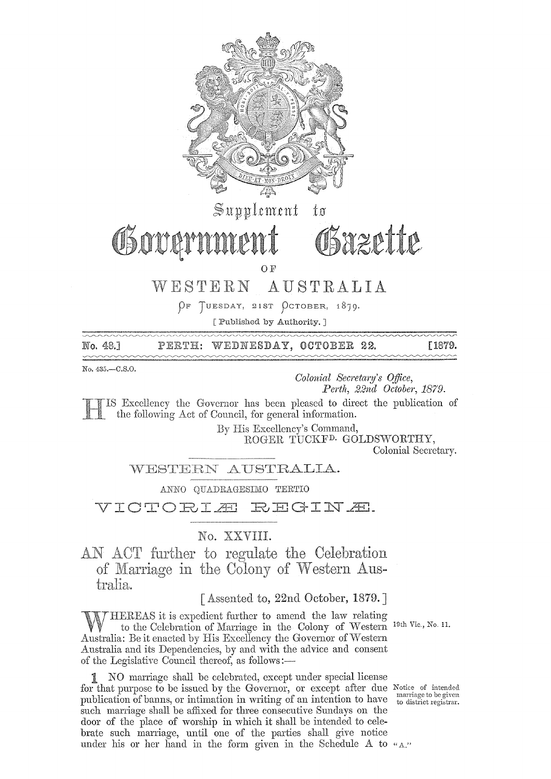

No. 48.1 PERTH: WEDNESDAY, OCTOBER 22. F<sub>1879.</sub>  $\sim\sim\sim$ 

No. 435.-C.S.O.

*Colonial Secretary's Office, Perth, 22ncl October, 1879.* 

Excellency the Governor has been pleased to direct the publication of the following Act of Council, for general information.

By His Excellency's Command,

ROGER TUCKF<sup>D.</sup> GOLDSWORTHY, Colonial Secretary.

WESTERN AUSTRALIA.

ANNO QUADRAGESIMO TERTIO

VICTORIA REGINA.

# No. XXVIII.

AN ACT further to regulate the Celebration of Western Aus tralia.

# $\lceil$  Assented to, 22nd October, 1879.

WHEREAS it is expedient further to amend the law relating<br>to the Celebration of Marriage in the Colony of Western 19th Vie., No. 11.<br>Australia: Be it enacted by His Excellency the Governor of Western Australia: Be it enacted by His Excellency the Governor of Western Australia and its Dependencies, by and with the advice and consent of the Legislative Council thereof, as follows:—

1 NO marriage shall be celebrated, except under special license for that purpose to be issued by the Governor, or except after due publication of banns, or intimation in writing of an intention to have such marriage shall be affixed for three consecutive Sundays on the door of the place of worship in which it shall be intended to celebrate such marriage, until one of the parties shall give notice under his or her hand in the form given in the Schedule  $A$  to  $"A"$ 

Notice of intended<br>marriage to be given<br>to district registrar.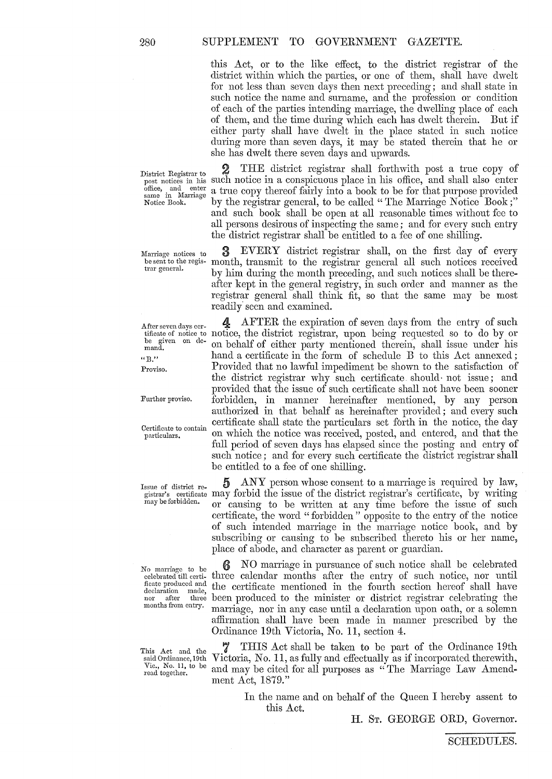this Act, or to the like effect, to the district registrar of the district within which the parties, or one of them, shall have dwelt for not less than seven days then next preceding; and shall state in such notice the name and surname, and the profession or condition of each of the parties intending marriage, the dwelling place of each of them, and the time during which each has dwelt therein. But if either party shall have dwelt in the place stated in such notice during more than seven days, it may be stated therein that he or she has dwelt there seven days and upwards.

Marriage notices to be sent to the regis**trar general.** 

be given on demand. **"E."** 

Proviso.

Further proviso.

This Act and the said Ordinance, 19th Vic., No. 11, to be read together.

District Registrar to 2 THE district registrar shall forthwith post a true copy of post notices in his such notice in a conspicuous place in his office, and shall also enter post notices in his such notice in a conspicuous place in his office, and shall also enter office, and enter a true copy thereof fairly into a book to be for that purpose provided same in Mariage office, and enter a true copy thereof fairly into a book to be for that purpose provided same in Marriage by the registrar general, to be called "The Marriage Notice Book;" by the registrar general, to be called "The Marriage Notice Book;" and such book shall be open at all reasonable times without fee to all persons desirous of inspecting the same; and for every such entry the district registrar shall be entitled to a fee of one shilling.

> EVERY district registrar shall, on the first day of every month, transmit to the registrar general all such notices received by him during the month preceding, and such notices shall be thereafter kept in the general registry, in such order and manner as the registrar general shall think fit, so that the same may be most readily seen and examined.

After seven days cer-<br>tificate of notice to notice, the district registrar, upon being requested so to do by or 4 AFTER the expiration of seven days from the entry of such on behalf of either party mentioned therein, shall issue under his hand a certificate in the form of schedule B to this Act annexed; Provided that no lawful impediment be shown to the satisfaction of the district registrar why such certificate should· not issue; and provided that the issue of such certificate shall not have been sooner forbidden, in manner hereinafter mentioned, by any person authorized in that behalf as hereinafter provided; and every such Certificate to contain certificate shall state the particulars set forth in the notice, the day particulars. on which the notice was received, posted, and entered, and that the full period of seven days has elapsed since the posting and entry of such notice; and for every such certificate the district registrar shall be entitled to a fee of one shilling.

Issue of district re-  $\frac{5}{2}$  ANY person whose consent to a marriage is required by law,  $\frac{1}{2}$  is the "finite steps" is extinct registrar's certificate, by writing may be forbidden. or causing to be written at any time before the issue of such certificate, the word "forbidden" opposite to the entry of the notice of such intended maniage in the marriage notice book, and by subscribing or causing to be subscribed thereto his or her name, place of abode, and character as parent or guardian.

No marriage to be  $\bigotimes$  NO marriage in pursuance of such notice shall be celebrated celebrated till certi- three calendar months after the entry of such notice, nor until celebrated till certi-<br>ficate produced and the certificate mentioned in the fourth section hereof shall have  $f_{\text{declaration}}^{\text{heat produced and}}$  the certificate mentioned in the fourth section hereof shall have nor after three been produced to the minister or district registrar celebrating the months from entry. morning contribution was contributed declaration when onthe or a solemn marriage, nor in any case until a declaration upon oath, or a solemn affirmation shall have been made in manner prescribed by the Ordinance 19th Victoria, No. 11, section 4.

> 7 THIS Act shall be taken to be part of the Ordinance 19th Victoria, No. 11, as fully and effectually as if incorporated therewith, and may be cited for all purposes as "The Marriage Law Amendment Act, 1879."

> > In the name and on behalf of the Queen I hereby assent to this Act.

> > > **H.** ST. GEORGE ORD, Governor.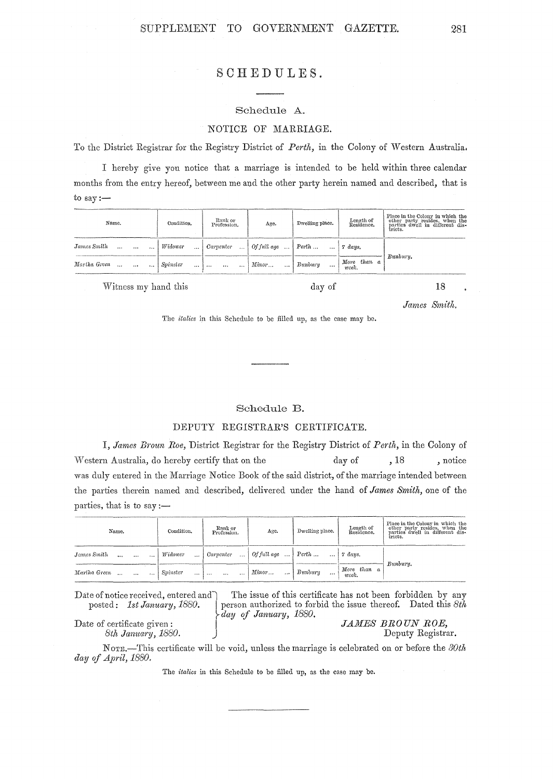# SCHEDULES.

# Schedule A. NOTICE OF MARRIAGE.

To the District Registrar for the Registry District of *Perth*, in the Colony of Western Australia.

I hereby give you notice that a marriage is intended to be held within three calendar months from the entry hereof, between me and the other party herein named and described, that is to  $\text{say}$ :-

| Name.                    | Condition.             | Rank or<br>Profession.                                               | Age.                                          | Dwelling place.        | Length of<br>Residence.                                                               | Place in the Colony in which the<br>other party resides, when the<br>parties dwell in different dis-<br>tricts. |
|--------------------------|------------------------|----------------------------------------------------------------------|-----------------------------------------------|------------------------|---------------------------------------------------------------------------------------|-----------------------------------------------------------------------------------------------------------------|
| James Smith              | <i>Widower</i><br>1.11 |                                                                      | Carpenter    Of full age    Perth     7 days. |                        |                                                                                       |                                                                                                                 |
| Martha Green    Spinster | $\sim$ $\sim$          | $\left[\begin{array}{ccc} 1 & 1 & 1 \\ 1 & 1 & 1 \end{array}\right]$ | Minor                                         | $B$ unburu<br>$\cdots$ | $\begin{array}{ l } \hline \text{More than} & a \\ \text{week.} & \hline \end{array}$ | Bunbury.                                                                                                        |

Witness my hand this

day of

18

*James Smith.* 

The *italics* in this Schedule to be filled up, as the case may be.

# Schedule B.

# DBPUTY REGISTRAR'S CERTIFICATE.

I, *James Broun Roe,* District Registrar for the Registry District of *Perth,* in the Colony of vVestern Australia, do hereby certify that 011 the day of , 18 , notice was duly entered in the Marriage Notice Book of the said district, of the marriage intended between the parties therein named and described, delivered under the hand of *James Smith,* one of the parties, that is to say :—

| Name.                        | Condition.           | Rank or<br>Profession.           | Age.                                | Dwelling place.        | Length of<br>Residence. | Place in the Colony in which the<br>other party resides, when the<br>parties dwell in different dis-<br>tricts. |
|------------------------------|----------------------|----------------------------------|-------------------------------------|------------------------|-------------------------|-----------------------------------------------------------------------------------------------------------------|
| James Smith<br>$\cdots$      | Widower<br>$\cdots$  | Carventer<br>. 1                 | Of full age $\ldots$ Perth $\ldots$ |                        | 7 days.                 |                                                                                                                 |
| Martha Green<br>and the same | Spinster<br>$\cdots$ | $\cdots$<br>$\cdots$<br>$\cdots$ | Minor<br>$\cdots$                   | $B$ unburu<br>$\cdots$ | More than a<br>week.    | Bunbury.                                                                                                        |

Date of notice received, entered and  $\hat{ }$  The issue of this certificate has not been forbidden by any posted: *1st January, 1880*. | person authorized to forbid the issue thereof. Dated this 8th ~day *of January, 1880.*  Exertificate given:<br>8th January, 1880. <br>James BROUN ROE, Deputy Registration of the *JAMES BROUN ROE*,

Date of certificate given:

Deputy Registrar.

NOTE.-This certificate will be void, unless the marriage is celebrated on or before the  $30th$ *day of April, 1880.* 

The *italics* in this Schedule to be filled up, as the case may be.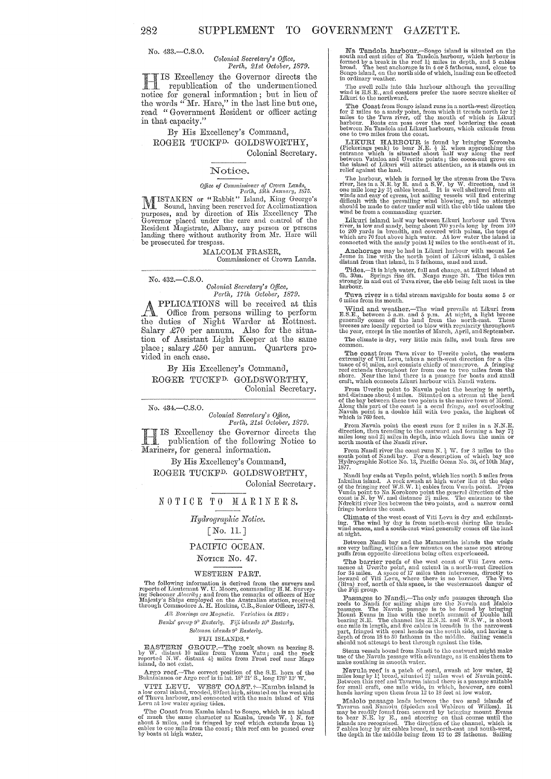No. 433.-C.S.0.

#### *Colonial Secretary's Office,*<br>*Perth, 21st October, 1879. Perth, 21st October, 1879.*

**H** IS Excellency the Governor directs the<br>republication of the undermentioned<br>metics for general information, but in lieu of republication of the undermentioned notice for general information; but in lieu of the words "Mr. Hare," in the last line but one, read "Government Resident or officer acting in that capacity."

### By His Excellency's Command, ROGER TUCKFD. GOLDSWORTHY, Colonial Secretary.

#### Notice.

Office of Commissioner of Crown Lands,<br>Perth, 16th January, 1875.<br>MISTAKEN or "Rabbit" Island, King George's<br>Sound, having been reserved for Acclimatization<br>purposes, and by direction of His Excellency The<br>Governor placed

MALCOLM FRASER, Commissioner of Grown Lands.

*No.* 432.-C.S.0.

# *Colonial Sec)'eta1'Y's Office, Perth, 17th Odobe)', 1879.*

**APPLICATIONS** will be received at this Office from persons willing to perform the duties of Night Warder at Rottnest. Salary *£70* per annum, Also for the situation of Assistant Light Keeper at the same place; salary £50 per annum. Quarters provided in each case.

By His Excellency's Command, ROGER TUCKFD. GOLDSWORTHY, Colonial Secretary.

*No.* 434.-C.S.0.

*Colonial Secretary's Office,*<br>*Perth, 21st October, 1879. Perth, 21st Odobe)', 1879.* 

H IS Excellency the Governor directs the<br>publication of the following Notice to publication of the following Notice to Mariners, for general information.

By His Excellency's Command, ROGER TUCKFD. GOLDSWORTHY, Colonial Secretary.

NOTICE TO MARINERS.

# *Hyd?'ogmphic Notice.*

# [No.11.J

#### PACIFIC OCEAN.

#### NOTICE No. 47.

#### WESTERN PART.

The following information is derived from the surveys and<br>reports of Lieutenant W. U. More, commanding H.M. Survey-<br>imp Schooner Alacrity; and from the remarks of officers of Her<br>Majesty's Ships employed on the Australian

*AlL Beatings arc llfagnetic. Vm'iaLion in* 18'79:

*Ranks' group 9° Easterly. Fiji islands 10° Easterly.*  $Solomon$  islands  $9^{\circ}$  Easterly.

### FIJI ISLANDS. \*

EASTERN GROUP.-The rock shown as bearing S.<br>by W. distant 10 miles from Vanua Vatu; and the rock<br>reported N.W. distant 4<sup>2</sup> miles from Frost reef near lYlago<br>island, do not exist.

Argo reef.—The correct position of the S.E. horn of the Bukatatanoa or Argo reef is in lat. 18° 21' S., long 178° 13' W.

VITI LEVU. WEST COAST.†--Kambo, island is a low coral island, wooded, S9feethigh, situated on the west side of Thuvu harbour, and connocted with the main island of Viti Levu at low water spring tides.

The Coast from Kamba island to Songo, which is an island<br>of much the same character as Kamba, trends W.  $\frac{1}{2}$  N. for<br>about 5 miles, and is fringed by reef which extends from  $1\frac{1}{2}$ <br>cables to one mile from the coas

**Na Tandola harbour.**—Songo island is situated on the south and east sides of Na Tandola harbour, which harbour is formed by a break in the reef  $1\frac{1}{4}$  miles in depth, and 5 cables broad. The best anchorage is in  $4$ 

The swell rolls into this harbour although the prevailing wind is E.S.E., and coasters prefer the more secure shelter of Likuri to the northward.

The Coast from Songo island runs in a north-west direction<br>for 2 miles to a sandy point, from which it trends north for  $1\frac{3}{2}$ <br>miles to the Tuva river, off the mouth of which is Likuri<br>harbour. Boats can pass over the

**LIKURI HARBOUR** is found by bringing Koromba (Pickerings peak) to bear N.E.  $\frac{1}{2}$  E. when approaching the entrance which is situated about half way along the reef between Vatuloa and Uverite points; the cocoa nut gro

The harbour, which is formed by the stream from the Tuva river, lies in a N.E. by E. and a S.W. by W. direction, and is one mile long by  $3\frac{1}{2}$  cables broad. It is well sheltered from all winds and easy of greess, but

The term is band half way between Likuri harbour and Tuva<br>river, is low and sandy, being about 700 yards long by from 100<br>to 200 yards in breadth, and covered with palme, the tops of<br>which are 70 feet above high water. At

Anchorage may be had in Likuri harbour with mount Le Jeune in line with the north point of Likuri island, 3 cables distant from that island, in 3 fathoms, saud and mud.

Tides.-It is high water, full and change, at Likuri island at 6h. 30m. Springs rise 4ft. Neaps range 3ft. The tides run strongly in and out of Tuva river, the ebb being felt most in the harbour.

Tuva river is a tidal stream navigable for boats some  $\,$  5 or 6 miles from its mouth.

Wind and weather.—The wind prevails at Likuri from E.S.E., between 5 a.m. and 5 p.m. At night, a light breeze generally comes off the land from the north-east. These breezes are locally reported to blow with regularity thr

The climate is dry, very little rain falls, and bush fires are common.

The coast from Tuva river to Uverite point, the western<br>extremity of Viti Levu, takes a north-west direction for a dis-<br>tance of  $6\frac{1}{2}$  miles, and consists chiefly of mangrove. A fringing<br>tends throughout for from one

From Uverite point to Navula point the bearing is north, and distance about 4 miles. Situated on a stream at the head of the bay between these two points is the native town of Momi. Along this part of the coast is a coral Navula point is a double hill with two peaks, the highest of which is 760 feet.

From Navula point the coast runs for 2 miles in a N.N.E. direction, then trending to the eastward and forming a bay  $7\frac{1}{2}$ miles long and 2<sup>1</sup> miles in depth, into which hows the main or north mouth of the Nandi river.

From Nandi river the coast runs N.  $\frac{1}{2}$  W. for 3 miles to the south point of Nandi bay. :<br>For a description of which bay see Hydrographic Notice No. 13, Pacific Ocean No. 36, of 10th May, 1877.

From Takin bay ends at Vunda point, which lies north 5 miles from Iakuliau island. A rock awash at high water lies at the edge of the fringing reef W.S.W.  $1\frac{1}{2}$  cables from Vunda point to Na Korokoro point the genera

Climate of the west coast of Viti Levu is dry and exhilarating. The wind by day is from north-west during the trade- wind season, and a south-east wind generally comes off the land at night.

Between Nandi bay and the Mamanutha islands the winds are very baffling, within a few minutcs on the same spot<br>puffs from opposite directions being often experienced.

The barrier reefs of the west coast of Viti Levu commence at Uverite point, and extend in a north-west direction for 34 miles. A space of 17 miles then intervenes, directly to leward of Viti Levu, where there is no barrier (Biva) reef, north of this space, is the westernmost danger of the Fiji group.

Passages to Nandi.—The only safe passages through the reefs to Nandi for sailing ships are the Navula and Malolo passages. The N nivel passage is to be found by bringing Mount Evans in line with the north summit of Double hill<br>bearing N.E. The channel lies E.N.E. and W.S.W., is about<br>one mile in length, and five cables in breadth in the narrowest<br>part, fringed with coral heads on the south depth of from 18 to 50 fathoms in the middle. Sailing vessels should not attempt to beat through against the tide.

Steam vessels bound from Nandi to the eastward might make use of the Navula passage with advantage, as it enables them to make southing in smooth water.

Navula reef is a patch of coral, awash at low water,  $2\frac{3}{4}$  miles long by  $1\frac{1}{4}$  broad, situated  $2\frac{5}{4}$  miles west of Navula point. Between this reef and Tavarua island there is a passage suitable for small cr

Malolo passage leads between the two sand islands of Tavarua and Nanotu (Spieden and Waldron of Wilkes). It may be readily found from seaward by bringing mount Evans to bear N.E. by E., and steering on that course until th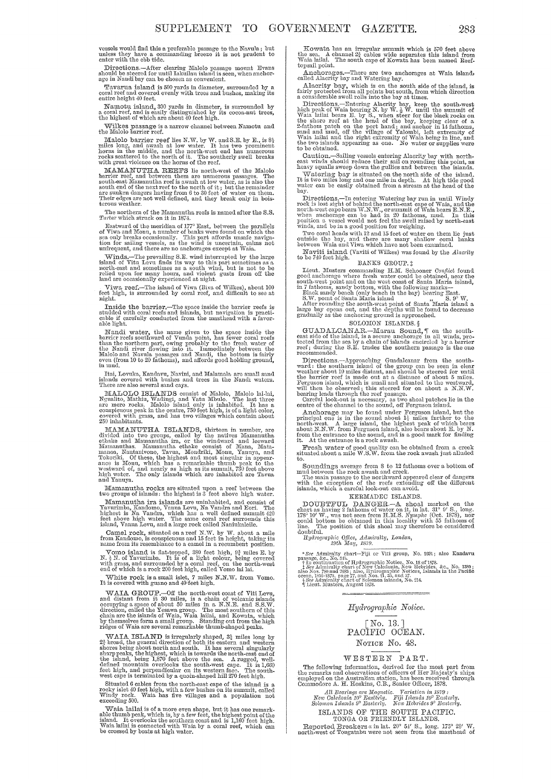vessels would find this a preferable passage to the Navula; but unless they have a commanding breeze it is not prudent to enter with the ebb tide.

Directions.—After clearing Malolo passage mount Evans should be steered for until Iakuilau island is seen, when anchorage in Nandi bay can be chosen as convenient.

Tavarua island is 500 yards in diameter, surrounded by a coral reef and covered evenly with trees and bushes, making its entire height  $40$  feet.

Namotu ishnd, 300 yards in diameter, is surrounded by a coral reef, and is easily distinguished by its cocoa-nut trees, the highest of which are about 40 feet high.

Wilkes passage is a narrow channel between Namotu and the Malolo barrier reef.

Malolo barrier reef lies N.W. by W. and S.E. by E., is  $8\frac{1}{2}$  miles long, and awash at low water. It has two prominent horns in the middle, and the north-west end has numerous rocks scattered to the north of it. The s

WILI BERN VIOLET IN REEETS Its north-west of the Malolo<br>barrier reef, and between them are numerous passages. The<br>south-east Mamanutha reef is awash at low water, as is also the<br>south-east Mamanutha reef is awash at low wa

The northern of the Mamanutha reefs is named after the S.S.  $\emph{Tartar}$  which struck on it in 1874.

Table Table Table Table Table Table Table Table Table Table Table Table Table Table Table Table Table Table Table Table Table Table Table Table Table Table Table Table Table Table Table Table Table Table Table Table Table

Winds.-The prevailing S.E. wind interrupted by the large island of Vitu Levu finds its way to this part sometimes as a north-east and sometimes as a south wind, but is not to be relied upon for many hours, and violent gusts from off the<br>land are occasionally experienced at night.

Viwa reef.--The island of Viwa (Biva of Wilkes), about 100 feet high, is surrounded by coral reef, and difficult to see at night.

Inside the barrier.--The space inside the barrier reefs is studded with coral reefs and islands, but navigation is practicable if carefully conducted from the masthead with a favorable light.

Franchi water, the name given to the space inside the barrier reefs southward of Vunda point, has fewer coral reefs than the northern part, owing probably to the fresh water of Malolo and Navula passages and Nandi, the bot

Itai, Lovuka, Kandavu, Navini, and Malamala are small sand islands covered with bushes and trees in the Nandi waters. There are also several sand cays.

MALOLO ISLANDS consist of Malolo, Malolo lai-lai, Ngualito, Malolo islandini, Wadingi, and Vata Whulo. The last three area are mere rocks. Malolo island only is inhabited. It has a conspicuous peak in the centre, 750 feet

MAMANUTHA ISLANDS, thirteen in number, are divided into two groups, called by the natives Mamanutha hetbake and 101- the windward and leeward indunculnas. Inamanutha ethake consist of Mana, Matamanoa, Nautanivono, Tavua, Mondriki, Monu, Yanuya, and Tokoriki. Of these, the highest and most singular in appear-<br>ance is Monu, which has a remarkable thumb peak to the<br>westward of, and nearly as high as its summit, 730

],Il:amanutha rocks are sitm1ted upon a reef between the two groups or islands: the highest is 3 feet above high water.

book groups of shames: the mights are unitabled, and consist of Yavurimba, Kandomo, Vanua Levu, Na Vandra and Eori. The highest is Na Vandra and Eori. The highest is Na Vandra, which has a well defined summit 420 feet abov

Camel rock, situated on a reef N.W. by W. about a mile from Kandowo, is conspicuous and 15 feet in height, taking its name from its resemblance to a camel in a recumbent position.

Normo is resembrance to a cancer in a recumbent position.<br>
Vomo island is flat-topped, 380 feet high, 9<sup>3</sup> miles E, by<br>
N. 3<sup>N</sup>. of Yavurimba. It is of a light colour, being covered<br>
with grass, and surrounded by a coral r

White rock is a small islet, 7 miles N.N.W. from Vomo. It is covered with guano and 40 feet high.

WAIA GROUP.-Off the north-west coast of Yiti Levu, and distant from it 30 miles, is a chain of volcanic islands occupying a space of about 50 miles in a N.N.E. and S.S.W. direction, called the Yesawa group. The most southern of this chain are the islands of Waia, Waia lailai, and Kowata, which by themselves form a small group. Standing out from the high ridges of Waia are several remarkable

WAIA ISLAND is irregularly shaped,  $3\frac{1}{2}$  broad, the general direction of both its eastern and spotern and spotern and south. It has several singularly sharp peaks, the highest, which is towards the north-east end of the island, being 1,870 feet above the sea. A rugged, well-feet high, and perpendicular on its western face. The south-est cape. It is 1,660 feet high, and p

Situated 6 cables from the north-east cape of the island is a rocky islet 40 feet high, with a few bushes on its summit, called Windy rock. Waia has five villages and a population not exceeding 500.

Waia lailai is of a more even shape, but it has one remark-<br>able thumb peak, which is, by a few feet, the highest point of the<br>island. It overlooks the southern coast and is 1,160 feet high.<br>Waia lailai is connected with W

Kowata has an irregular summit which is  $570$  feet above the sea. A channel  $2\frac{3}{4}$  cables wide separates this island from Waia laui. The south cape of Kowata has been named Reef-topsail point.

Anchorages.-There are two anchorages at Waia island, called Alacrity bay and Watering bay.

Alacrity bay, which is on the south side of the island, is<br>fairly protected from all points but south, from which direction<br>a considerable swell rolls into the bay at times.

Directions,—Entering Alacrity bay, keep the south-west<br>high peak of Waia bearing N. by W. § W. until the summit of<br>Waia lailai bears E. by S., when steer for the black rocks on<br>the shore reef at the head of the bay, keepin

Calltion.-Sailing vessels entering Alacrity bay with north· east wind3 should reduce their sail on rounding this point, as heavy sqnnJls sweep down the gullies and between the islands.

Heavy squares are up to und our the increase the island. It is two miles long and one mile in depth. At high tide good water can be easily obtained from a stream at the head of the buy.

Directions.—In entering Watering bay run in until Windy rock is lost sight of behind the north-east cape of Waia, and the property north-west cape bears W.N.W., or summit of Waia bears E.N.E., when anchorage can be had in

Two coral heads with 12 and 15 feet of water on them lie just outside the bay, and there are many shallow coral banks between Waia and Viwa which have not been examined.

Naviti island (Vaviti of Wilkes) was found by the *Alacrity* to be 740 feet high.

#### BANKS GROUP. t

Lieut. Musters commanding H.M. Schooner *Conflict* found good anchorage where fresh water could be obtained, near the

south-west point and on the west coast of Santa Maria island,<br>in 7 fathoms, sandy bottom, with the following marks—<br>Back sandy beach (only beach in the bay) bearing East.<br>S.W. point of Santa Maria island<br> $\frac{8}{100}$  S.W.

### SOLOMON ISLANDS. §

GUADALCANAR.—Marau Sound,  $\P$  on the south-<br>east side of the island, is a secure anchorage in all winds, pro-<br>tected from the sea by a chain of islands encircled by a barrier<br>reef; during the S.E. trades the southern passa

Directions.—Approaching Guadaleanar from the south-ward : the southern island of the group can be seen in clear weather about 10 miles distant, and should be steered for until the barrier reef is made out at a distance of

denote of the canadian of the sound under Ferguson island, but the principal one is in the sound about  $1\frac{1}{4}$  miles further to the north-west. A large island, the highest peak of which bears about N.W. from Ferguson i

Fresh water of good quality can be obtained from a creek situated about a mile W.S.W. from the rock awash just alluded

Soundings average from  $8$  to 12 fathoms over a bottom of<br>mud between the rock awash and creek.<br>The main passage to the northward appeared clear of dangers<br>with the exception of the reefs extending off the different<br>islan

#### KERMADEC ISLANDS.

DOUBTFUL DANGER.—A shoal marked on the chart as having 2 fathoms of water on it, in lat. 31° 9' S., long. 178° 10' W., was not seen from H.M.S. Nymphe (Oct. 1878), nor could bottom be obtained in this locality with 55 fat

# Hydrographic Office, Admiralty, London,<br>19th May, 1879.

 $Hydrographic$  *Notice.* 

[No. 13. ] PACIFIC OOEAN. NOTICE No. 48.

#### WESTERN PART.

The following information, derived for the most part from the remarks and observations of officers of Her Majesty's ships employed on the Australian station, has been received through Commodore A. H. Hoskins, C.B., Senior

ISLANDS OF THE SOUTH PACIFIC.<br>
TONGA OR FRIENDLY ISLANDS.<br>
Reported Breakers a in lat. 20° 54' S., long. 175° 28' W.<br>
north-west of Tongatabu were not seen from the masthead of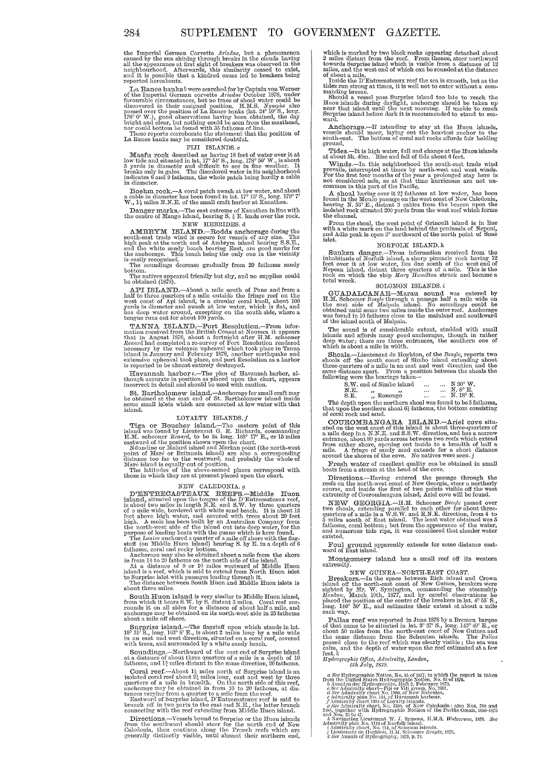the Imperial German Corvette  $Aridane$ , but a phenomenon caused by the sun shining through breaks in the clouds having all the appearance at first sight of breakers was observed in the neighbourhood. Afterwards, this similari

Le Rance banks *b* were searched for by Captain von Werner<br>of the Imperial German corvette *Ariatae* October 1878, under<br>favourable circumstances, but no trace of shoal water could be<br>discovered in their assigned position

#### FIJI ISLANDS. c

Maafu rock described as having 18 feet of water over it at<br>low tide and situated in lat.  $17^{\circ} 54'$  S., long.  $178^{\circ} 56'$  W., is about<br>5 yards in diameter and difficult to see in fine weather. It<br>breaks only in gales.

Boehnn rock.--A coral patch awash at low water, and about a cable in diameter has been found in lat.  $17^{\circ}$  13' S., long. 179° 7' W.,  $1\frac{1}{2}$  miles N.N.E. of the small craft harbor at Kanathea.

# Danger marks.-The east extreme of Manathea in line with the centre of Mango island, bearing S.  $\frac{1}{4}$  E. leads over the rock.<br>NEW HEBRIDES.  $d$

NEW HEBRIDES. *d*<br>AMBRYM ISLAND.-Rodds anchorage during the south-east trade wind is secure for vessels of any size. The high peak at the north end of Ambrym island bearing S.S.E., and the white sandy beach bearing East, are good marks for the anchorage. This beach being the only o

The soundings decrease gradually from 20 fathoms sandy bottom. The na,tivcs appearcd friendly but shy, and no supplies could be obtained (1878).

API ISLAND.—About a mile south of Pane and from a half to three quarters of a mile outside the fringe reef on the west coast of Api island, is a circular coral knoll, about 100 yards in diameter and awash at low water, which is flat, and<br>has deep water around, excepting on the south side, where a<br>tongue runs out for about 100 yards.

tongue runs out for about 100 yards.<br>The MR ISLAND--Port Resolution.--From infor-<br>mation received from the British Consul at Noumea it appears<br>that in August 1878, about a fortuight after H.M. solooner<br>Reard had completed

Havannah harbor c.--The plan of Havannah harbor, al-though accurate in position as placed upon the chart, appears incorrect in detail and should be used with caution.

St. Bartholomew island.—Anchorage for small craft may be obtained at the east end of St. Bartholomew island inside some small islets which are connected at low water with that island.

#### LOYALTY ISLANDS.  $f$

LOYALLY ISLANDS. JUXALLY ISLANDS. JUXALLY ISLAMDS. The eastern point of this island was found by Liettenant G. E. Richards, commanding H.M. schooner Renewal, to be in long. 1689 177 E., or 15 miles anstward of the positio

NEW CALEDONIA.  $g$ <br>
D'ENTRECASTEAUX REURES.—Middle Huon<br>
island, situated upon the tongue of the D'Entrecasteaux reef,<br>
is about two miles in length N.E. and S.W. by three quarters<br>
of a mile wide, bordered with white san

fathoms, coral and rocky bottom.<br>Anchorage may also be obtained about a mile from the shore in from 14 to 20 fathoms on the north side of the island.<br>At a distance of 9 or 10 miles westward of Middle Huon<br>island is a reef

South Huon island is very similar to Middle Huon island, from which it bears S.W. by S. distant 3 miles. Coral reef surrounds it on all sides for a distance of about half a mile, and anothorage may be obtained on its north

Surprise island.—The flagstaff upon which stands in lat.<br>18° 31′ S., long. 163° 8′ E., is about 2 miles long by a mile wide in an east and west direction, situated on a coral reef, covered<br>with trees, and surrounded by a w

Sounclings.--Northward of the east end of Surprise island at a distance of about three quarters of a mile is a depth of 10 fathoms, and 1<sup>2</sup> miles distant in the same direction, 20 fathoms.

Coral reef.—About  $1\frac{1}{2}$  miles north of Surprise island is an isolated coral reef about  $2\frac{1}{2}$  miles long, east and west by three quarters of a mile in breadth. On the north side of this reef, anchorage may be obt

Bastward of Surprise island, D'Entrecasteaux reef is said to branch off in two parts to the east and N.B., the latter brunch connecting with the reef extending from Middle Huon island.

Directions.—Vessels bound to Surprise or the Huon islands from the southward should steer for the north end of New Galedonia, then continue along the French recfs which are generally distinctly visible, until abreast thei

which is marked by two black rocks appearing detached about<br>2 miles distant from the reef. From thence, steer northward<br>2 miles distant from the reef. From thence, steer northward<br>towards Surprise island which is visible

Anchorage.—If intending to stay at the Huon islands, vessels should moor, laying out the heaviest anchor to the south-east. The bottom of coral and rocks affords fair holding ground.

Tides.—It is high water, full and change at the Huon islands at about 51.  $40m$ . Rise and fall of tide about 6 feet.

at about 5h. 40m. Exise and num or true about o reet.<br>Winds.—In this neighborhood the south-east trade wind<br>prevails, interrupted at times by north-west and west winds.<br>For the first four months of the year a prolonged sta

A shoal having over it  $2\frac{3}{4}$  fathoms at low water, has been found in the Moueo passage on the west coast of New Caledonia, bearing N. 53° E., distant 3 cables from the beacon upon the leaded rock situated 200 yards from the west reef which forms<br>the channel.

From the shoal, the west point of Grinoult island is in line with a white mark on the land behind the penillsula of Neponi, and Adio peak is open 3° northward of the north point of Sone

NORFOLK ISLAND. 1.<br>Sunken danger.—From information received from the<br>inhabitants of Norfolk island, a sharp pinnacle rock having 12 feet over it at low water, lies due south of the west end of Nepean island, distant three quarters of a mile. This is the rock on which the ship *Mary Hamilton* struck and became a total wreck. SOLOMON ISLANDS.

SUIADALCANAR-<br>
SUIADALCANAR-MAR-MAR-MAR-<br>
H.M. Schooner Beagle through a passage half a mile wide on<br>
the east side of Malpala island. No soundings could be<br>
obtained until some two miles inside the outer reef. Anchorage<br>

The sound is of considerable extent, studded with small islands and affords many good anchorages, though in rather deep water; there are three entrances, the southern one of which is about a mile in width.

Shoals.-Lieutenant de Hoghton, of the *Beavlc,* reports two shoals off the south coast of Simbo island extending about three-quarters of a mile in an east and west direction and the same distance apart. I rom a position between the shoals the following were the bearings taken---

 $S. W.$  end of Simbo island  $\begin{array}{ccc} ... & ... & N 30^{\circ} W. \ \text{N.E.} & ... & ... & N.8 \ \text{N.E.} & ... & ... & ... & N. 18^{\circ} E. \end{array}$ 

| л. |         |  | л. о п.          |  |
|----|---------|--|------------------|--|
|    |         |  | $N.18^{\circ}$ E |  |
| Е. | Ronongo |  |                  |  |

The depth upon the northern shoal was found to be 5 fathoms, that upon the southern shoal  $6\frac{1}{4}$  fathoms, the bottom consisting of coral rock and sand.

COUTROM BANGARA. ISLAND.—Ariel cove situated on the west coast of this island is about three-quarters of anile deep in a N.X.E. and S.S.W. direction, and has a narrow entrance, about 80 yards across between two reefs whic

Fresh water of excellent quality can be obtained in small  $\mathbf{F}$  fresh water of excellent quality can be obtained in small hoats from a stream at the head of the cove.

Directions.--Having entered the passage through the reefs on the north-west coast of New Georgia, steer a northerly course, and inside the first of two points visible off the west extremity of Courombangara island, Ariel cove will be found.

NEW GEORGIA.--H.M. Schooner *Beagle* passed over two shoals, extending parallel to each other for about threequarters of a mile in a W.S.W. and E.N.E. direction, from 4 to 5 miles south of East island. The least water obtained was  $5$  falling fathlows, coral bottom; but from the appearance of the water, and numerous tide rips, i

Foul ground apparently extends for some distance east- ward of East island.

Montgomery island has a small reef off its western extremity.

NEW GUINEA--NORTH-EAST COAST.<br>Breakers.--In the space between Rich island and Crown<br>island off the north-east coast of New Guinea, breakers were<br>sighted by Mr. W. Symington, commanding the steamship *Hankow,* March 10th, 1877, and by careful observations he placed the position of the centre of the breakers in lat. 4° 55' S., long. H6' 50' E., and estimates their extent at abont a mile each way.

Pallas reef was reported in June 1878 by a Bremen barque of that name to be situated in lat. 3° 37' S., long, 145° 40' E., or habitable about 50 miles from the north-east coast of New Guinea and the same distance from the

- 
- 
- 
- *Hydrographic Office, Admiralty, London,*<br> *GHb* July, 1879.<br> *a See Hydrographic Notice, No. 15 of 1877*, in which the report is taken<br> *tema* the United States Hydrographic Notice, No. 53 of 1876.<br> *b* Annalea der Hydrog
- 
-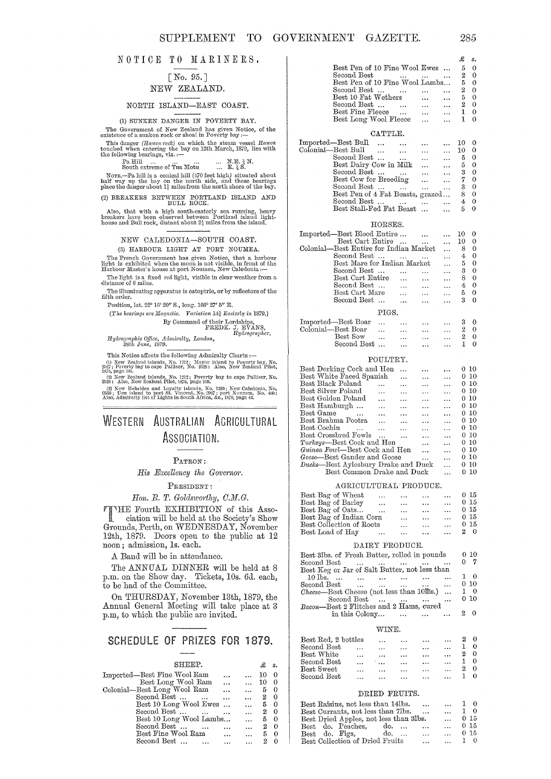#### NOTICE TO MARINERS.

### [No. 95. ] NEW ZEALAND.

#### NORTH ISLAND-EAST COAST.

(1) SUNKEN DANGER IN POVERTY BAY. The Government of New Zeal<br>and has given Notice, of the existence of a sunken rock or shoal in Poverty bay :--

This danger (Havea rock) on which the steam vessel Hawea touched when entering the bay on 12th March, 1879, lies with the following bearings, viz. :--

 $P_a$  Hill ... ... ... ... ...  $M.E. \frac{3}{2} N$ .<br>South extreme of Tua Motu ... E.  $\frac{1}{2} S$ .

NOTE.—Pa hill is a conical hill (470 feet high) situated about half way up the bay on the north side, and these bearings place the danger about 1; miles from the north shore of the bay.

(2) BREAKERS BETWEEN EORTLAND ISLAND AND BULL ROCK.

Also, that with a high south-easterly sea running, heavy breakers have been observed between Portland island light-house and Bull rock, distant about  $2\frac{1}{2}$  miles from the island.

#### NEW CALEDONIA-SOUTH COAST.

#### (3) HARBOUR LIGHT AT PORT NOUMEA.

The French Goycrnment has given Noticc, that a harhour light is exhibited when the moon is not visible, in front of the Harbour Master's house at port Noumea, New Caledonia:-

The light is a, fixed  $\,red$  light, visible in clear weather from a distance of  $6$  miles. The illuminating apparatus is catoptric, or by reflectors of the fifth order.

Position, lat. 22° *10'* 20" S., long. 166° 27' 5" E.

(fJ.1Jw *beatings are Magnetic, Va'riation* 1,1} *Eastei'7y in* 1879.)

By Command of their Lordships,<br>FREDK. J. EVANS,<br>*Hydrographer*.

*IIydrographic Office, Admiralty, London, 28th June, 1879.* 

This Notice affects the following Admiralty Charts  $: \hspace{-.2em} \textbf{--}$ 

2527; Foverty bay to cape Palliser, No. 2528: Also, New Zealand Pilot,<br>1375, page 105.<br>(2) New Zealand islands, No. 1212; Poverty bay to cape Palliser, No.<br>2528: Also, New Zealand Pilot, 1875, page 109.

(3) New Hebrides and Loyalty islands, No. 1380; New Calcdonia, No. 686b; Uon island to port St. Vincent, No. 2007; port Noumea, No. 480; Also, Admiralty list of Lights in South Africa, &c., 1879, page 44.

# WESTERN AUSTRALIAN AGRICULTURAL ASSOCIATION.

#### PATRON:

*His Excellency the Governor.* 

#### PRESIDENT:

### *Hon. E.* T. *GoldswoTihy, O.M.G.*

THE Fourth EXHIBITION of this Asso-<br>ciation will be held at the Second in Clu 1 ciation will be held at the Society's Show Grounds, Perth, on WEDNESDAY, November 12th, 1879. Doors open to the public at 12 noon; admission, Is. each.

A Band will be in attendance.

The ANNUAL DINNER will be held at 8  $\,$ p.m. on the Show day. Tickets, 10s. 6d. each, to be had of the Committee.

On THURSDAY, November 13th, 1879, the Annual General Meeting will take place at 3 p.m, to which the public are invited.

# SCHEDULE OF PRIZES FOR 1879.

| SHEEP.                      |        |           |    | s.             |
|-----------------------------|--------|-----------|----|----------------|
| Imported—Best Fine Wool Ram |        |           | 10 | 0              |
| Best Long Wool Ram          |        |           | 10 |                |
| Colonial-Best Long Wool Ram | $\sim$ |           | 5  | $\Omega$       |
| Second Best<br>$\ddots$     |        | $\ddotsc$ | 2  | - 0            |
| Best 10 Long Wool Ewes      |        | $\cdots$  | 5  | $\overline{0}$ |
| Second Best<br>$\mathbf{r}$ |        | $\ddotsc$ | 2  | $\Omega$       |
| Best 10 Long Wool Lambs     |        |           | 5  | $\Omega$       |
| Second Best                 |        |           | 2  | $\Omega$       |
| Best Fine Wool Ram          |        |           | 5  |                |
| Second Best                 |        |           |    |                |

|                                                                                                                                                         | £            | s.                                                    |
|---------------------------------------------------------------------------------------------------------------------------------------------------------|--------------|-------------------------------------------------------|
| Best Pen of 10 Fine Wool Ewes                                                                                                                           | 5            | $\bf{0}$                                              |
| Second Best<br>$\mathbf{r} = \mathbf{r} \cdot \mathbf{r}$ and $\mathbf{r} = \mathbf{r} \cdot \mathbf{r}$ and $\mathbf{r} = \mathbf{r} \cdot \mathbf{r}$ |              |                                                       |
| Best Pen of 10 Fine Wool Lambs                                                                                                                          |              | $\begin{smallmatrix} 2 & 0 \ 5 & 0 \end{smallmatrix}$ |
| Second Best                                                                                                                                             |              | $2\quad 0$                                            |
| Best 10 Fat Wethers                                                                                                                                     |              | $5\quad 0$                                            |
| Second Best                                                                                                                                             |              | $2\quad 0$                                            |
| Best Fine Fleece                                                                                                                                        |              | $1 \quad 0$                                           |
| Best Long Wool Fleece                                                                                                                                   | $\mathbf{1}$ | $\theta$                                              |
|                                                                                                                                                         |              |                                                       |
| CATTLE.                                                                                                                                                 |              |                                                       |
| Imported—Best Bull                                                                                                                                      | 10           | 0                                                     |
| Colonial—Best Bull                                                                                                                                      | 10           | $\mathbf 0$                                           |
| Second Best                                                                                                                                             | 5.           | $\overline{0}$                                        |
| Best Dairy Cow in Milk                                                                                                                                  | 5            | $\mathbf 0$                                           |
| Second Best                                                                                                                                             | $\mathbf{3}$ | $\mathbf 0$                                           |
| Best Cow for Breeding                                                                                                                                   | 7            | $\theta$                                              |
| Second Best                                                                                                                                             |              | $3 \quad 0$                                           |
| Best Pen of 4 Fat Beasts, grazed                                                                                                                        | 80           |                                                       |
| Second Best                                                                                                                                             | 4            | $\mathbf 0$                                           |
| Best Stall-Fed Fat Beast                                                                                                                                | 5.           | 0                                                     |
|                                                                                                                                                         |              |                                                       |
| HORSES.                                                                                                                                                 |              |                                                       |
| Imported—Best Blood Entire                                                                                                                              | 10 -         | 0                                                     |
| Best Cart Entire                                                                                                                                        | - 10 -       | 0                                                     |
| Colonial—Best Entire for Indian Market                                                                                                                  | 8.           | $\Omega$                                              |

| Imported—Best Blood Entire             |                      |    |          |
|----------------------------------------|----------------------|----|----------|
| Best Cart Entire                       |                      | 10 |          |
| Colonial—Best Entire for Indian Market |                      |    |          |
| Second Best<br>$\sim$                  | $\ddot{\phantom{a}}$ | 4  |          |
| Best Mare for Indian Market            |                      | 5  | $\theta$ |
| Second Best                            |                      | я  | $\Omega$ |
| Best Cart Entire                       |                      |    | О        |
| Second Best                            |                      |    |          |
| Best Cart Mare                         |                      | 5  | Ω        |
| Second Best                            |                      | З  |          |
|                                        |                      |    |          |

### PIGS.

| Imported—Best Boar        | $\cdots$ | $\cdots$ | $\cdots$  | $\cdots$ | 30 |  |
|---------------------------|----------|----------|-----------|----------|----|--|
| Colonial—Best Boar        | $\cdots$ | $\cdots$ | $\ddotsc$ |          | 2. |  |
| $\operatorname{Best}$ Sow | $\cdots$ | $\cdots$ | $\cdots$  | $\cdots$ |    |  |
| Second Best               |          | $\cdots$ | $\ddotsc$ | $\cdots$ |    |  |

#### POULTRY.

| Best Dorking Cock and Hen<br>.                                          | .         | 0 10     |
|-------------------------------------------------------------------------|-----------|----------|
| Best White Faced Spanish<br>$\ddot{\phantom{a}}$<br>$\ddotsc$           | $\cdots$  | $0\,10$  |
| Best Black Poland<br>$\ddotsc$                                          | $\cdots$  | 010      |
| Best Silver Poland<br>.<br>$\ddotsc$<br>$\ddotsc$                       | $\ddotsc$ | 0, 10    |
| Best Golden Poland<br>$\cdots$<br>$\ddotsc$<br>                         | $\ddotsc$ | 0 10     |
| Best Hamburgh                                                           |           | 0 10     |
| $\cdots$<br>$\ddotsc$<br>.                                              | $\cdots$  |          |
| Best Game<br>$\sim$ $\sim$ $\sim$<br>$\cdots$<br>$\ddotsc$<br>$\ddotsc$ | $\ddotsc$ | 0 10     |
| Best Brahma Pootra<br>$\cdots$<br>$\ddotsc$<br>$\ddotsc$                | $\ddotsc$ | 010      |
| Best Cochin<br>$\sim$ $\sim$ $\sim$<br>$\ddotsc$<br>$\ddotsc$           | $\ddotsc$ | 0 10     |
|                                                                         |           |          |
| Best Crossbred Fowls<br>$\cdots$                                        | .         | 0-10     |
| <i>Turkeys</i> —Best Cock and Hen<br>.                                  | $\ddotsc$ | 0.10     |
| Guinea Fowl—Best Cock and Hen                                           |           | 0 10     |
| $\ddotsc$                                                               |           |          |
| Geese—Best Gander and Goose<br>.                                        | $\ddotsc$ | 0. 10    |
|                                                                         |           | 0, 10    |
| Ducks-Best Aylesbury Drake and Duck                                     |           |          |
| Best Common Drake and Duck                                              | .         | -10<br>o |
|                                                                         |           |          |

#### AGRICULTURAL PRODUCE.

| Best Bag of Wheat        | $\cdots$ | $\cdots$  | $\cdots$ | $\ddotsc$      | 0 <sub>15</sub> |
|--------------------------|----------|-----------|----------|----------------|-----------------|
| Best Bag of Barley       | $\cdots$ | $\cdots$  | $\cdots$ | $\cdots$       | 0 <sub>15</sub> |
| Best Bag of Oats         | $\cdots$ | $\cdots$  | $\cdots$ | $\ddotsc$      | 0.15            |
| Best Bag of Indian Corn  |          | $\cdots$  | $\cdots$ | $\cdots$       | 0.15            |
| Best Collection of Roots |          | $\ddotsc$ | $\cdots$ | $\overline{a}$ | 015             |
| Best Load of Hay         | $\cdots$ | $\ddotsc$ | $\cdots$ | $\cdots$       | 20              |

#### DAIRY PRODUCE.

| Best 3lbs. of Fresh Butter, rolled in pounds       |                                   |           | 0.10        |
|----------------------------------------------------|-----------------------------------|-----------|-------------|
| Second Best<br>$\ddotsc$                           |                                   |           | - 7         |
| Best Keg or Jar of Salt Butter, not less than      |                                   |           |             |
| $10$ lbs.<br><b><i>Charles Committee</i></b>       | and the state of the state of the |           | $1 \quad 0$ |
| Second Best<br>$\sim$ $\sim$                       |                                   | $\ddotsc$ | 010         |
| $\emph{Check}$ -Best Cheese (not less than 10lbs.) |                                   |           | 10          |
| Second Best                                        |                                   | $\cdots$  | 010         |
| Bacon-Best 2 Flitches and 2 Hams, cured            |                                   |           |             |
| in this Colony                                     |                                   |           |             |
|                                                    |                                   |           |             |

#### WINE.

| Best Red, 2 bottles |          | $\ddotsc$             | $\cdots$  | $\cdots$ | $\cdots$  | 9. |            |
|---------------------|----------|-----------------------|-----------|----------|-----------|----|------------|
| Second Best         | $\cdots$ | $\cdots$              | $\ddotsc$ | $\cdots$ |           |    |            |
| Best White          | $\cdots$ | $\cdots$              | $\cdots$  | $\cdots$ | $\ddotsc$ |    | $\Omega$   |
| Second Best         |          | $\mathbb{Z}_{\geq 0}$ | $\ddotsc$ | $\cdots$ |           |    |            |
| Best Sweet          | $\cdots$ | $\cdots$              | $\ddotsc$ | $\cdots$ | $\cdots$  |    | $^{\circ}$ |
| Second Best         |          |                       |           | $\cdots$ |           |    |            |

#### DRIED PRUITS.

| Best Raisins, not less than 14lbs.<br>$\ddotsc$ | $\ddotsc$ | $1 \quad 0$ |
|-------------------------------------------------|-----------|-------------|
| Best Currants, not less than 7lbs.<br>$\cdots$  | $\ddotsc$ | 1 O         |
| Best Dried Apples, not less than 3lbs.          | $\cdots$  | 015         |
| Best do. Peaches,<br>do.<br>2.11                | $\ddotsc$ | 0.15        |
| Best do. Figs. do.<br>$\overline{1}$            | $\cdots$  | 0.15        |
| Best Collection of Dried Fruits<br>$\ddotsc$    | $\cdots$  | 1 O         |

285